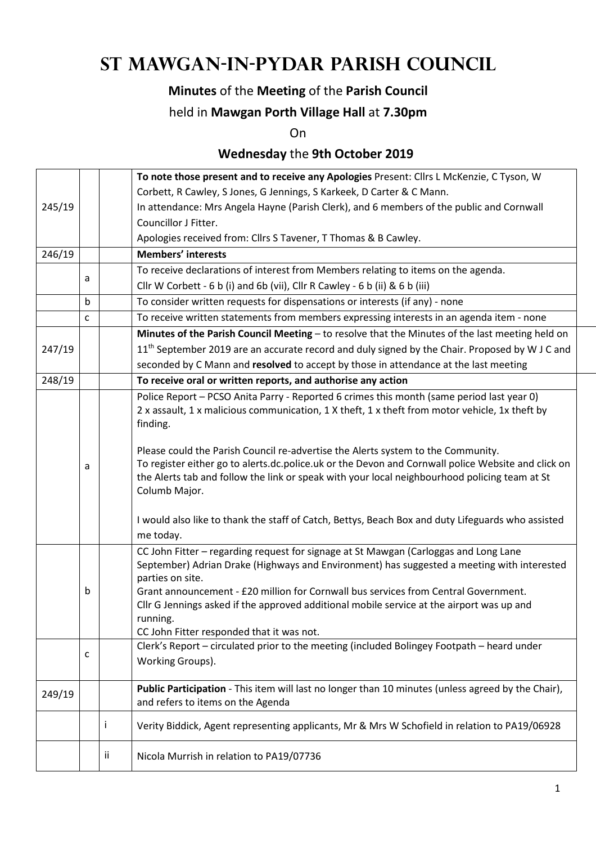# **St Mawgan-in-Pydar Parish Council**

## **Minutes** of the **Meeting** of the **Parish Council**

#### held in **Mawgan Porth Village Hall** at **7.30pm**

On

## **Wednesday** the **9th October 2019**

|        |              |     | To note those present and to receive any Apologies Present: Cllrs L McKenzie, C Tyson, W                                                                                               |  |  |  |
|--------|--------------|-----|----------------------------------------------------------------------------------------------------------------------------------------------------------------------------------------|--|--|--|
|        |              |     | Corbett, R Cawley, S Jones, G Jennings, S Karkeek, D Carter & C Mann.                                                                                                                  |  |  |  |
| 245/19 |              |     | In attendance: Mrs Angela Hayne (Parish Clerk), and 6 members of the public and Cornwall                                                                                               |  |  |  |
|        |              |     | Councillor J Fitter.                                                                                                                                                                   |  |  |  |
|        |              |     | Apologies received from: Cllrs S Tavener, T Thomas & B Cawley.                                                                                                                         |  |  |  |
| 246/19 |              |     | <b>Members' interests</b>                                                                                                                                                              |  |  |  |
|        |              |     | To receive declarations of interest from Members relating to items on the agenda.                                                                                                      |  |  |  |
|        | a            |     | Cllr W Corbett - 6 b (i) and 6b (vii), Cllr R Cawley - 6 b (ii) & 6 b (iii)                                                                                                            |  |  |  |
|        | b            |     | To consider written requests for dispensations or interests (if any) - none                                                                                                            |  |  |  |
|        | $\mathsf{C}$ |     | To receive written statements from members expressing interests in an agenda item - none                                                                                               |  |  |  |
|        |              |     | Minutes of the Parish Council Meeting - to resolve that the Minutes of the last meeting held on                                                                                        |  |  |  |
| 247/19 |              |     | 11 <sup>th</sup> September 2019 are an accurate record and duly signed by the Chair. Proposed by W J C and                                                                             |  |  |  |
|        |              |     | seconded by C Mann and resolved to accept by those in attendance at the last meeting                                                                                                   |  |  |  |
| 248/19 |              |     | To receive oral or written reports, and authorise any action                                                                                                                           |  |  |  |
|        |              |     | Police Report - PCSO Anita Parry - Reported 6 crimes this month (same period last year 0)                                                                                              |  |  |  |
|        |              |     | 2 x assault, 1 x malicious communication, 1 X theft, 1 x theft from motor vehicle, 1x theft by                                                                                         |  |  |  |
|        |              |     | finding.                                                                                                                                                                               |  |  |  |
|        |              |     |                                                                                                                                                                                        |  |  |  |
|        |              |     | Please could the Parish Council re-advertise the Alerts system to the Community.<br>To register either go to alerts.dc.police.uk or the Devon and Cornwall police Website and click on |  |  |  |
|        | a            |     | the Alerts tab and follow the link or speak with your local neighbourhood policing team at St                                                                                          |  |  |  |
|        |              |     | Columb Major.                                                                                                                                                                          |  |  |  |
|        |              |     |                                                                                                                                                                                        |  |  |  |
|        |              |     | I would also like to thank the staff of Catch, Bettys, Beach Box and duty Lifeguards who assisted                                                                                      |  |  |  |
|        |              |     | me today.                                                                                                                                                                              |  |  |  |
|        |              |     | CC John Fitter - regarding request for signage at St Mawgan (Carloggas and Long Lane                                                                                                   |  |  |  |
|        |              |     | September) Adrian Drake (Highways and Environment) has suggested a meeting with interested                                                                                             |  |  |  |
|        |              |     | parties on site.                                                                                                                                                                       |  |  |  |
|        | b            |     | Grant announcement - £20 million for Cornwall bus services from Central Government.                                                                                                    |  |  |  |
|        |              |     | Cllr G Jennings asked if the approved additional mobile service at the airport was up and<br>running.                                                                                  |  |  |  |
|        |              |     | CC John Fitter responded that it was not.                                                                                                                                              |  |  |  |
|        |              |     | Clerk's Report - circulated prior to the meeting (included Bolingey Footpath - heard under                                                                                             |  |  |  |
|        | c            |     | Working Groups).                                                                                                                                                                       |  |  |  |
|        |              |     |                                                                                                                                                                                        |  |  |  |
| 249/19 |              |     | Public Participation - This item will last no longer than 10 minutes (unless agreed by the Chair),                                                                                     |  |  |  |
|        |              |     | and refers to items on the Agenda                                                                                                                                                      |  |  |  |
|        |              | Ť   | Verity Biddick, Agent representing applicants, Mr & Mrs W Schofield in relation to PA19/06928                                                                                          |  |  |  |
|        |              | ii. | Nicola Murrish in relation to PA19/07736                                                                                                                                               |  |  |  |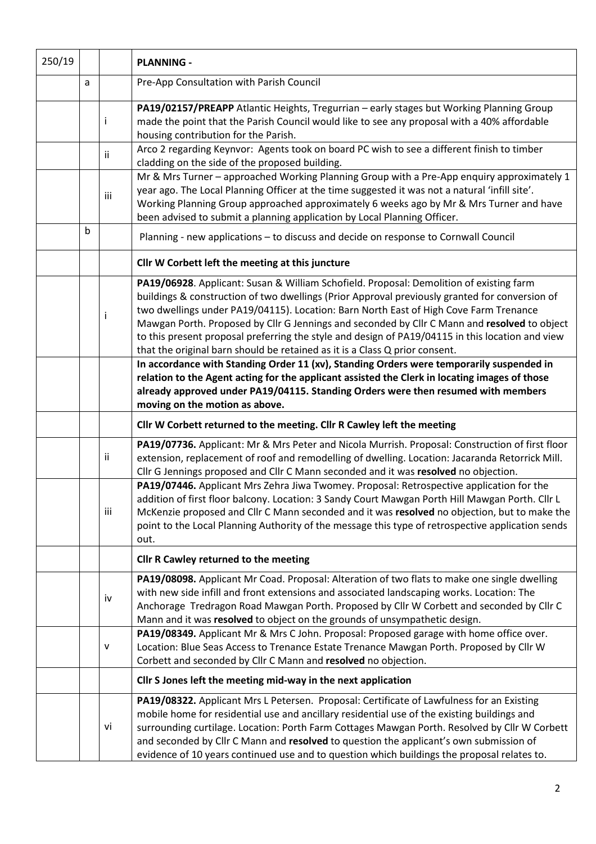| 250/19 |   |           | <b>PLANNING -</b>                                                                                                                                                                                                                                                                                                                                                                                                                                                                                                                                                     |  |  |  |  |  |
|--------|---|-----------|-----------------------------------------------------------------------------------------------------------------------------------------------------------------------------------------------------------------------------------------------------------------------------------------------------------------------------------------------------------------------------------------------------------------------------------------------------------------------------------------------------------------------------------------------------------------------|--|--|--|--|--|
|        | a |           | Pre-App Consultation with Parish Council                                                                                                                                                                                                                                                                                                                                                                                                                                                                                                                              |  |  |  |  |  |
|        |   | Ť         | PA19/02157/PREAPP Atlantic Heights, Tregurrian - early stages but Working Planning Group<br>made the point that the Parish Council would like to see any proposal with a 40% affordable<br>housing contribution for the Parish.                                                                                                                                                                                                                                                                                                                                       |  |  |  |  |  |
|        |   | ii.       | Arco 2 regarding Keynvor: Agents took on board PC wish to see a different finish to timber<br>cladding on the side of the proposed building.                                                                                                                                                                                                                                                                                                                                                                                                                          |  |  |  |  |  |
|        |   | iii       | Mr & Mrs Turner - approached Working Planning Group with a Pre-App enquiry approximately 1<br>year ago. The Local Planning Officer at the time suggested it was not a natural 'infill site'.<br>Working Planning Group approached approximately 6 weeks ago by Mr & Mrs Turner and have<br>been advised to submit a planning application by Local Planning Officer.                                                                                                                                                                                                   |  |  |  |  |  |
|        | b |           | Planning - new applications - to discuss and decide on response to Cornwall Council                                                                                                                                                                                                                                                                                                                                                                                                                                                                                   |  |  |  |  |  |
|        |   |           | Cllr W Corbett left the meeting at this juncture                                                                                                                                                                                                                                                                                                                                                                                                                                                                                                                      |  |  |  |  |  |
|        |   | i         | PA19/06928. Applicant: Susan & William Schofield. Proposal: Demolition of existing farm<br>buildings & construction of two dwellings (Prior Approval previously granted for conversion of<br>two dwellings under PA19/04115). Location: Barn North East of High Cove Farm Trenance<br>Mawgan Porth. Proposed by Cllr G Jennings and seconded by Cllr C Mann and resolved to object<br>to this present proposal preferring the style and design of PA19/04115 in this location and view<br>that the original barn should be retained as it is a Class Q prior consent. |  |  |  |  |  |
|        |   |           | In accordance with Standing Order 11 (xv), Standing Orders were temporarily suspended in<br>relation to the Agent acting for the applicant assisted the Clerk in locating images of those<br>already approved under PA19/04115. Standing Orders were then resumed with members<br>moving on the motion as above.                                                                                                                                                                                                                                                      |  |  |  |  |  |
|        |   |           | Cllr W Corbett returned to the meeting. Cllr R Cawley left the meeting                                                                                                                                                                                                                                                                                                                                                                                                                                                                                                |  |  |  |  |  |
|        |   | ii.       | PA19/07736. Applicant: Mr & Mrs Peter and Nicola Murrish. Proposal: Construction of first floor<br>extension, replacement of roof and remodelling of dwelling. Location: Jacaranda Retorrick Mill.<br>Cllr G Jennings proposed and Cllr C Mann seconded and it was resolved no objection.                                                                                                                                                                                                                                                                             |  |  |  |  |  |
|        |   | iii       | PA19/07446. Applicant Mrs Zehra Jiwa Twomey. Proposal: Retrospective application for the<br>addition of first floor balcony. Location: 3 Sandy Court Mawgan Porth Hill Mawgan Porth. Cllr L<br>McKenzie proposed and Cllr C Mann seconded and it was resolved no objection, but to make the<br>point to the Local Planning Authority of the message this type of retrospective application sends<br>out.                                                                                                                                                              |  |  |  |  |  |
|        |   |           | <b>Cllr R Cawley returned to the meeting</b>                                                                                                                                                                                                                                                                                                                                                                                                                                                                                                                          |  |  |  |  |  |
|        |   | iv        | PA19/08098. Applicant Mr Coad. Proposal: Alteration of two flats to make one single dwelling<br>with new side infill and front extensions and associated landscaping works. Location: The<br>Anchorage Tredragon Road Mawgan Porth. Proposed by Cllr W Corbett and seconded by Cllr C<br>Mann and it was resolved to object on the grounds of unsympathetic design.                                                                                                                                                                                                   |  |  |  |  |  |
|        |   | ${\sf V}$ | PA19/08349. Applicant Mr & Mrs C John. Proposal: Proposed garage with home office over.<br>Location: Blue Seas Access to Trenance Estate Trenance Mawgan Porth. Proposed by Cllr W<br>Corbett and seconded by Cllr C Mann and resolved no objection.                                                                                                                                                                                                                                                                                                                  |  |  |  |  |  |
|        |   |           | Cllr S Jones left the meeting mid-way in the next application                                                                                                                                                                                                                                                                                                                                                                                                                                                                                                         |  |  |  |  |  |
|        |   | vi        | PA19/08322. Applicant Mrs L Petersen. Proposal: Certificate of Lawfulness for an Existing<br>mobile home for residential use and ancillary residential use of the existing buildings and<br>surrounding curtilage. Location: Porth Farm Cottages Mawgan Porth. Resolved by Cllr W Corbett<br>and seconded by Cllr C Mann and resolved to question the applicant's own submission of<br>evidence of 10 years continued use and to question which buildings the proposal relates to.                                                                                    |  |  |  |  |  |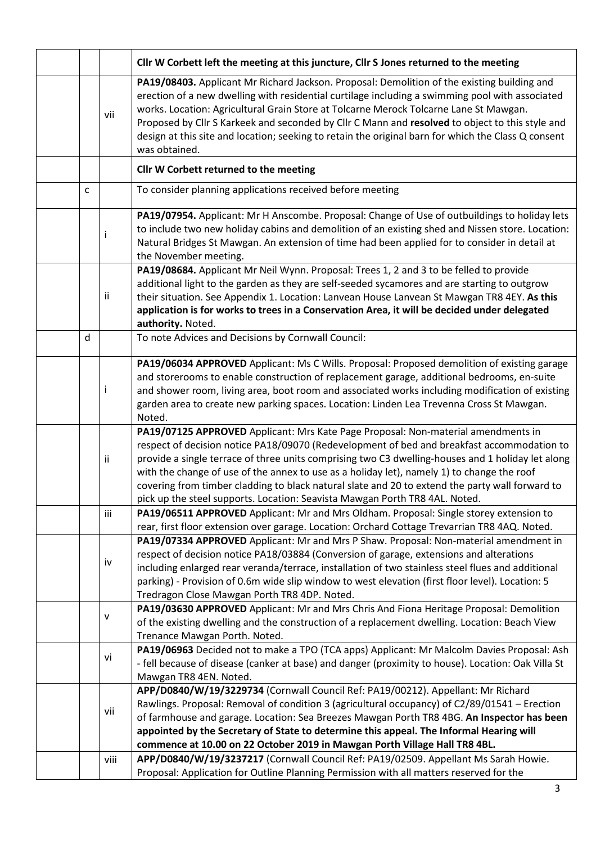|   |           | Cllr W Corbett left the meeting at this juncture, Cllr S Jones returned to the meeting                                                                                                                                                                                                                                                                                                                                                                                                                                                                               |
|---|-----------|----------------------------------------------------------------------------------------------------------------------------------------------------------------------------------------------------------------------------------------------------------------------------------------------------------------------------------------------------------------------------------------------------------------------------------------------------------------------------------------------------------------------------------------------------------------------|
|   | vii       | PA19/08403. Applicant Mr Richard Jackson. Proposal: Demolition of the existing building and<br>erection of a new dwelling with residential curtilage including a swimming pool with associated<br>works. Location: Agricultural Grain Store at Tolcarne Merock Tolcarne Lane St Mawgan.<br>Proposed by Cllr S Karkeek and seconded by Cllr C Mann and resolved to object to this style and<br>design at this site and location; seeking to retain the original barn for which the Class Q consent<br>was obtained.                                                   |
|   |           | Cllr W Corbett returned to the meeting                                                                                                                                                                                                                                                                                                                                                                                                                                                                                                                               |
| C |           | To consider planning applications received before meeting                                                                                                                                                                                                                                                                                                                                                                                                                                                                                                            |
|   | İ         | PA19/07954. Applicant: Mr H Anscombe. Proposal: Change of Use of outbuildings to holiday lets<br>to include two new holiday cabins and demolition of an existing shed and Nissen store. Location:<br>Natural Bridges St Mawgan. An extension of time had been applied for to consider in detail at<br>the November meeting.                                                                                                                                                                                                                                          |
|   | ii        | PA19/08684. Applicant Mr Neil Wynn. Proposal: Trees 1, 2 and 3 to be felled to provide<br>additional light to the garden as they are self-seeded sycamores and are starting to outgrow<br>their situation. See Appendix 1. Location: Lanvean House Lanvean St Mawgan TR8 4EY. As this<br>application is for works to trees in a Conservation Area, it will be decided under delegated<br>authority. Noted.                                                                                                                                                           |
| d |           | To note Advices and Decisions by Cornwall Council:                                                                                                                                                                                                                                                                                                                                                                                                                                                                                                                   |
|   | j         | PA19/06034 APPROVED Applicant: Ms C Wills. Proposal: Proposed demolition of existing garage<br>and storerooms to enable construction of replacement garage, additional bedrooms, en-suite<br>and shower room, living area, boot room and associated works including modification of existing<br>garden area to create new parking spaces. Location: Linden Lea Trevenna Cross St Mawgan.<br>Noted.                                                                                                                                                                   |
|   | ii.       | PA19/07125 APPROVED Applicant: Mrs Kate Page Proposal: Non-material amendments in<br>respect of decision notice PA18/09070 (Redevelopment of bed and breakfast accommodation to<br>provide a single terrace of three units comprising two C3 dwelling-houses and 1 holiday let along<br>with the change of use of the annex to use as a holiday let), namely 1) to change the roof<br>covering from timber cladding to black natural slate and 20 to extend the party wall forward to<br>pick up the steel supports. Location: Seavista Mawgan Porth TR8 4AL. Noted. |
|   | iii       | PA19/06511 APPROVED Applicant: Mr and Mrs Oldham. Proposal: Single storey extension to<br>rear, first floor extension over garage. Location: Orchard Cottage Trevarrian TR8 4AQ. Noted.                                                                                                                                                                                                                                                                                                                                                                              |
|   | iv        | PA19/07334 APPROVED Applicant: Mr and Mrs P Shaw. Proposal: Non-material amendment in<br>respect of decision notice PA18/03884 (Conversion of garage, extensions and alterations<br>including enlarged rear veranda/terrace, installation of two stainless steel flues and additional<br>parking) - Provision of 0.6m wide slip window to west elevation (first floor level). Location: 5<br>Tredragon Close Mawgan Porth TR8 4DP. Noted.                                                                                                                            |
|   | ${\sf V}$ | PA19/03630 APPROVED Applicant: Mr and Mrs Chris And Fiona Heritage Proposal: Demolition<br>of the existing dwelling and the construction of a replacement dwelling. Location: Beach View<br>Trenance Mawgan Porth. Noted.                                                                                                                                                                                                                                                                                                                                            |
|   | vi        | PA19/06963 Decided not to make a TPO (TCA apps) Applicant: Mr Malcolm Davies Proposal: Ash<br>- fell because of disease (canker at base) and danger (proximity to house). Location: Oak Villa St<br>Mawgan TR8 4EN. Noted.                                                                                                                                                                                                                                                                                                                                           |
|   | vii       | APP/D0840/W/19/3229734 (Cornwall Council Ref: PA19/00212). Appellant: Mr Richard<br>Rawlings. Proposal: Removal of condition 3 (agricultural occupancy) of C2/89/01541 - Erection<br>of farmhouse and garage. Location: Sea Breezes Mawgan Porth TR8 4BG. An Inspector has been<br>appointed by the Secretary of State to determine this appeal. The Informal Hearing will<br>commence at 10.00 on 22 October 2019 in Mawgan Porth Village Hall TR8 4BL.                                                                                                             |
|   | viii      | APP/D0840/W/19/3237217 (Cornwall Council Ref: PA19/02509. Appellant Ms Sarah Howie.<br>Proposal: Application for Outline Planning Permission with all matters reserved for the                                                                                                                                                                                                                                                                                                                                                                                       |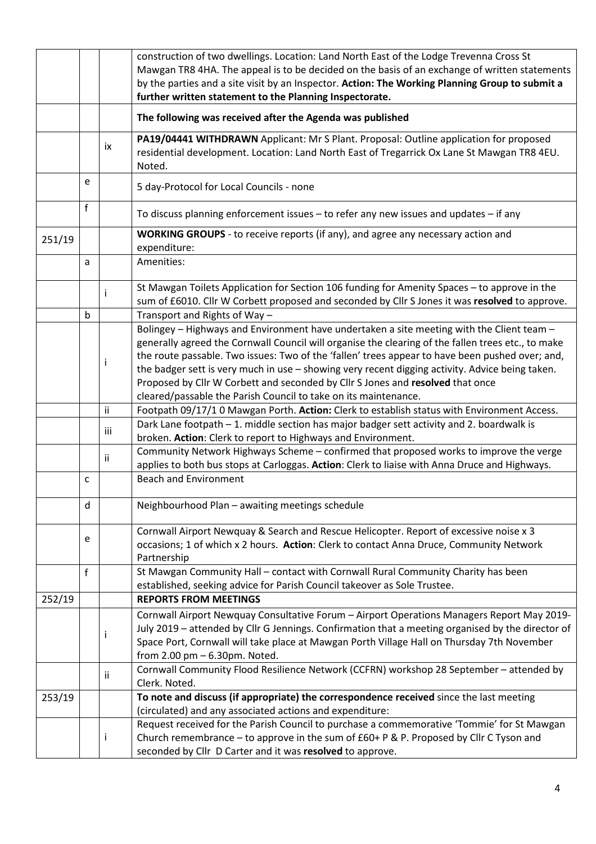|        |              |     | construction of two dwellings. Location: Land North East of the Lodge Trevenna Cross St<br>Mawgan TR8 4HA. The appeal is to be decided on the basis of an exchange of written statements<br>by the parties and a site visit by an Inspector. Action: The Working Planning Group to submit a<br>further written statement to the Planning Inspectorate. |  |  |  |
|--------|--------------|-----|--------------------------------------------------------------------------------------------------------------------------------------------------------------------------------------------------------------------------------------------------------------------------------------------------------------------------------------------------------|--|--|--|
|        |              |     | The following was received after the Agenda was published                                                                                                                                                                                                                                                                                              |  |  |  |
|        |              | ix  | PA19/04441 WITHDRAWN Applicant: Mr S Plant. Proposal: Outline application for proposed<br>residential development. Location: Land North East of Tregarrick Ox Lane St Mawgan TR8 4EU.<br>Noted.                                                                                                                                                        |  |  |  |
|        | e            |     | 5 day-Protocol for Local Councils - none                                                                                                                                                                                                                                                                                                               |  |  |  |
|        | f            |     | To discuss planning enforcement issues - to refer any new issues and updates - if any                                                                                                                                                                                                                                                                  |  |  |  |
| 251/19 |              |     | WORKING GROUPS - to receive reports (if any), and agree any necessary action and<br>expenditure:                                                                                                                                                                                                                                                       |  |  |  |
|        | a            |     | Amenities:                                                                                                                                                                                                                                                                                                                                             |  |  |  |
|        | $\mathsf{b}$ | Ť   | St Mawgan Toilets Application for Section 106 funding for Amenity Spaces - to approve in the<br>sum of £6010. Cllr W Corbett proposed and seconded by Cllr S Jones it was resolved to approve.                                                                                                                                                         |  |  |  |
|        |              |     | Transport and Rights of Way-<br>Bolingey - Highways and Environment have undertaken a site meeting with the Client team -                                                                                                                                                                                                                              |  |  |  |
|        |              |     | generally agreed the Cornwall Council will organise the clearing of the fallen trees etc., to make<br>the route passable. Two issues: Two of the 'fallen' trees appear to have been pushed over; and,                                                                                                                                                  |  |  |  |
|        |              | Ť   | the badger sett is very much in use - showing very recent digging activity. Advice being taken.<br>Proposed by Cllr W Corbett and seconded by Cllr S Jones and resolved that once<br>cleared/passable the Parish Council to take on its maintenance.                                                                                                   |  |  |  |
|        |              | ii  | Footpath 09/17/1 0 Mawgan Porth. Action: Clerk to establish status with Environment Access.                                                                                                                                                                                                                                                            |  |  |  |
|        |              | iii | Dark Lane footpath - 1. middle section has major badger sett activity and 2. boardwalk is<br>broken. Action: Clerk to report to Highways and Environment.                                                                                                                                                                                              |  |  |  |
|        |              | ii  | Community Network Highways Scheme - confirmed that proposed works to improve the verge<br>applies to both bus stops at Carloggas. Action: Clerk to liaise with Anna Druce and Highways.                                                                                                                                                                |  |  |  |
|        | $\mathsf{C}$ |     | <b>Beach and Environment</b>                                                                                                                                                                                                                                                                                                                           |  |  |  |
|        | d            |     | Neighbourhood Plan - awaiting meetings schedule                                                                                                                                                                                                                                                                                                        |  |  |  |
|        | e            |     | Cornwall Airport Newquay & Search and Rescue Helicopter. Report of excessive noise x 3<br>occasions; 1 of which x 2 hours. Action: Clerk to contact Anna Druce, Community Network<br>Partnership                                                                                                                                                       |  |  |  |
|        | f            |     | St Mawgan Community Hall - contact with Cornwall Rural Community Charity has been<br>established, seeking advice for Parish Council takeover as Sole Trustee.                                                                                                                                                                                          |  |  |  |
| 252/19 |              |     | <b>REPORTS FROM MEETINGS</b>                                                                                                                                                                                                                                                                                                                           |  |  |  |
|        |              | j   | Cornwall Airport Newquay Consultative Forum - Airport Operations Managers Report May 2019-<br>July 2019 - attended by Cllr G Jennings. Confirmation that a meeting organised by the director of<br>Space Port, Cornwall will take place at Mawgan Porth Village Hall on Thursday 7th November<br>from 2.00 pm - 6.30pm. Noted.                         |  |  |  |
|        |              | ii  | Cornwall Community Flood Resilience Network (CCFRN) workshop 28 September - attended by<br>Clerk. Noted.                                                                                                                                                                                                                                               |  |  |  |
| 253/19 |              |     | To note and discuss (if appropriate) the correspondence received since the last meeting<br>(circulated) and any associated actions and expenditure:                                                                                                                                                                                                    |  |  |  |
|        |              | Ť   | Request received for the Parish Council to purchase a commemorative 'Tommie' for St Mawgan<br>Church remembrance - to approve in the sum of £60+ P & P. Proposed by Cllr C Tyson and<br>seconded by Cllr D Carter and it was resolved to approve.                                                                                                      |  |  |  |